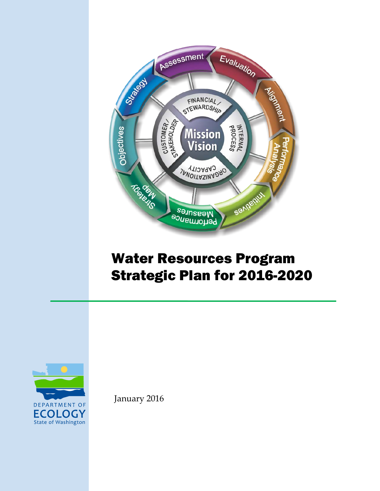

# Water Resources Program Strategic Plan for 2016-2020



January 2016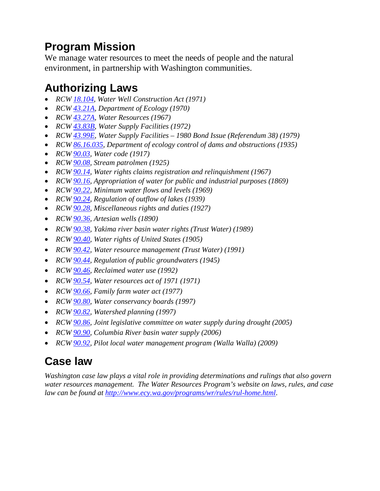### **Program Mission**

We manage water resources to meet the needs of people and the natural environment, in partnership with Washington communities.

### **Authorizing Laws**

- *RCW [18.104,](http://apps.leg.wa.gov/RCW/default.aspx?cite=18.104&full=true) Water Well Construction Act (1971)*
- *RCW [43.21A,](http://apps.leg.wa.gov/RCW/default.aspx?cite=43.21A) Department of Ecology (1970)*
- *RCW [43.27A,](http://apps.leg.wa.gov/RCW/default.aspx?cite=43.27A&full=true) Water Resources (1967)*
- *RCW [43.83B,](http://apps.leg.wa.gov/RCW/default.aspx?cite=43.83B&full=true) Water Supply Facilities (1972)*
- *RCW [43.99E,](http://apps.leg.wa.gov/RCW/default.aspx?cite=43.99E) Water Supply Facilities – 1980 Bond Issue (Referendum 38) (1979)*
- *RCW [86.16.035,](http://apps.leg.wa.gov/RCW/default.aspx?cite=86.16.035) Department of ecology control of dams and obstructions (1935)*
- *RCW [90.03,](http://apps.leg.wa.gov/rcw/default.aspx?cite=90.03) Water code (1917)*
- *RCW [90.08,](http://apps.leg.wa.gov/rcw/default.aspx?cite=90.08) Stream patrolmen (1925)*
- *RCW [90.14,](http://apps.leg.wa.gov/rcw/default.aspx?cite=90.14) Water rights claims registration and relinquishment (1967)*
- *RCW [90.16,](http://apps.leg.wa.gov/rcw/default.aspx?cite=90.16) Appropriation of water for public and industrial purposes (1869)*
- *RCW [90.22,](http://apps.leg.wa.gov/rcw/default.aspx?cite=90.22) Minimum water flows and levels (1969)*
- *RCW [90.24,](http://apps.leg.wa.gov/rcw/default.aspx?cite=90.24) Regulation of outflow of lakes (1939)*
- *RCW [90.28,](http://apps.leg.wa.gov/rcw/default.aspx?cite=90.28) Miscellaneous rights and duties (1927)*
- *RCW [90.36,](http://apps.leg.wa.gov/rcw/default.aspx?cite=90.36) Artesian wells (1890)*
- *RCW [90.38,](http://apps.leg.wa.gov/rcw/default.aspx?cite=90.38) Yakima river basin water rights (Trust Water) (1989)*
- *RCW [90.40,](http://apps.leg.wa.gov/rcw/default.aspx?cite=90.40) Water rights of United States (1905)*
- *RCW [90.42,](http://apps.leg.wa.gov/rcw/default.aspx?cite=90.42) Water resource management (Trust Water) (1991)*
- *RCW [90.44,](http://apps.leg.wa.gov/rcw/default.aspx?cite=90.44) Regulation of public groundwaters (1945)*
- *RCW [90.46,](http://apps.leg.wa.gov/rcw/default.aspx?cite=90.46) Reclaimed water use (1992)*
- *RCW [90.54,](http://apps.leg.wa.gov/rcw/default.aspx?cite=90.54) Water resources act of 1971 (1971)*
- *RCW [90.66,](http://apps.leg.wa.gov/rcw/default.aspx?cite=90.66) Family farm water act (1977)*
- *RCW [90.80,](http://apps.leg.wa.gov/rcw/default.aspx?cite=90.80) Water conservancy boards (1997)*
- *RCW [90.82,](http://apps.leg.wa.gov/rcw/default.aspx?cite=90.82) Watershed planning (1997)*
- *RCW [90.86,](http://apps.leg.wa.gov/rcw/default.aspx?cite=90.86) Joint legislative committee on water supply during drought (2005)*
- *RCW [90.90,](http://apps.leg.wa.gov/rcw/default.aspx?cite=90.90) Columbia River basin water supply (2006)*
- *RCW [90.92,](http://apps.leg.wa.gov/rcw/default.aspx?cite=90.92) Pilot local water management program (Walla Walla) (2009)*

### **Case law**

*Washington case law plays a vital role in providing determinations and rulings that also govern water resources management. The Water Resources Program's website on laws, rules, and case law can be found at<http://www.ecy.wa.gov/programs/wr/rules/rul-home.html>*.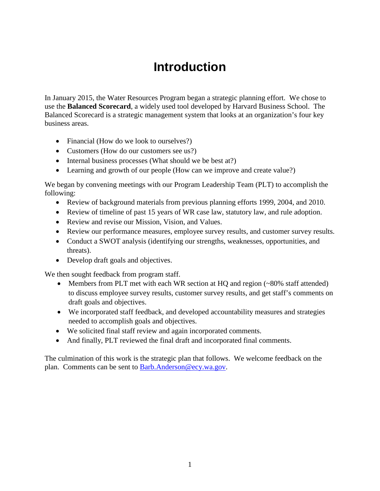## **Introduction**

In January 2015, the Water Resources Program began a strategic planning effort. We chose to use the **Balanced Scorecard**, a widely used tool developed by Harvard Business School. The Balanced Scorecard is a strategic management system that looks at an organization's four key business areas.

- Financial (How do we look to ourselves?)
- Customers (How do our customers see us?)
- Internal business processes (What should we be best at?)
- Learning and growth of our people (How can we improve and create value?)

We began by convening meetings with our Program Leadership Team (PLT) to accomplish the following:

- Review of background materials from previous planning efforts 1999, 2004, and 2010.
- Review of timeline of past 15 years of WR case law, statutory law, and rule adoption.
- Review and revise our Mission, Vision, and Values.
- Review our performance measures, employee survey results, and customer survey results.
- Conduct a SWOT analysis (identifying our strengths, weaknesses, opportunities, and threats).
- Develop draft goals and objectives.

We then sought feedback from program staff.

- Members from PLT met with each WR section at HQ and region (~80% staff attended) to discuss employee survey results, customer survey results, and get staff's comments on draft goals and objectives.
- We incorporated staff feedback, and developed accountability measures and strategies needed to accomplish goals and objectives.
- We solicited final staff review and again incorporated comments.
- And finally, PLT reviewed the final draft and incorporated final comments.

The culmination of this work is the strategic plan that follows. We welcome feedback on the plan. Comments can be sent to [Barb.Anderson@ecy.wa.gov.](mailto:Barb.Anderson@ecy.wa.gov)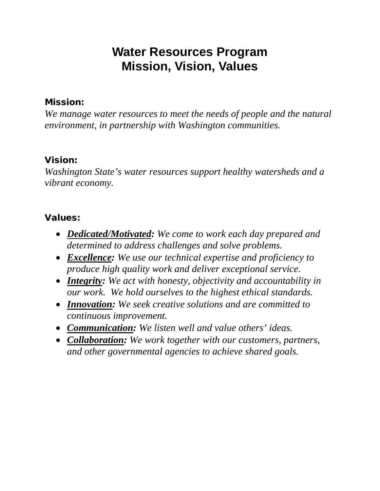## **Water Resources Program Mission, Vision, Values**

#### Mission:

*We manage water resources to meet the needs of people and the natural environment, in partnership with Washington communities.*

#### Vision:

*Washington State's water resources support healthy watersheds and a vibrant economy.* 

#### Values:

- *Dedicated/Motivated: We come to work each day prepared and determined to address challenges and solve problems.*
- *Excellence: We use our technical expertise and proficiency to produce high quality work and deliver exceptional service.*
- *Integrity: We act with honesty, objectivity and accountability in our work. We hold ourselves to the highest ethical standards.*
- *Innovation: We seek creative solutions and are committed to continuous improvement.*
- *Communication: We listen well and value others' ideas.*
- *Collaboration: We work together with our customers, partners, and other governmental agencies to achieve shared goals.*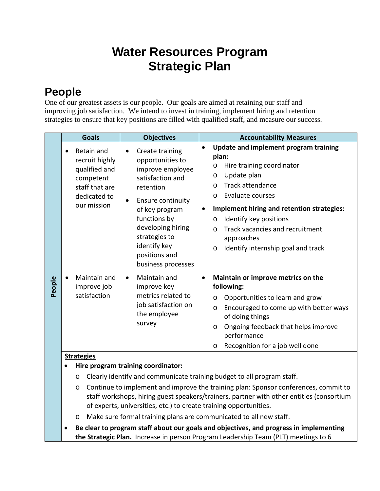## **Water Resources Program Strategic Plan**

### **People**

One of our greatest assets is our people. Our goals are aimed at retaining our staff and improving job satisfaction. We intend to invest in training, implement hiring and retention strategies to ensure that key positions are filled with qualified staff, and measure our success.

|        | <b>Goals</b>                                                                                                | <b>Objectives</b>                                                                                                                                                                                                                                                      | <b>Accountability Measures</b>                                                                                                                                                                                                                                                                                                                                                         |  |  |  |
|--------|-------------------------------------------------------------------------------------------------------------|------------------------------------------------------------------------------------------------------------------------------------------------------------------------------------------------------------------------------------------------------------------------|----------------------------------------------------------------------------------------------------------------------------------------------------------------------------------------------------------------------------------------------------------------------------------------------------------------------------------------------------------------------------------------|--|--|--|
|        | Retain and<br>recruit highly<br>qualified and<br>competent<br>staff that are<br>dedicated to<br>our mission | Create training<br>$\bullet$<br>opportunities to<br>improve employee<br>satisfaction and<br>retention<br>Ensure continuity<br>$\bullet$<br>of key program<br>functions by<br>developing hiring<br>strategies to<br>identify key<br>positions and<br>business processes | Update and implement program training<br>plan:<br>Hire training coordinator<br>$\circ$<br>Update plan<br>$\circ$<br>Track attendance<br>$\circ$<br>Evaluate courses<br>$\circ$<br>Implement hiring and retention strategies:<br>$\bullet$<br>Identify key positions<br>O<br>Track vacancies and recruitment<br>$\Omega$<br>approaches<br>Identify internship goal and track<br>$\circ$ |  |  |  |
| People | Maintain and<br>improve job<br>satisfaction                                                                 | Maintain and<br>$\bullet$<br>improve key<br>metrics related to<br>job satisfaction on<br>the employee<br>survey                                                                                                                                                        | Maintain or improve metrics on the<br>$\bullet$<br>following:<br>Opportunities to learn and grow<br>$\circ$<br>Encouraged to come up with better ways<br>O<br>of doing things<br>Ongoing feedback that helps improve<br>O<br>performance<br>Recognition for a job well done<br>$\circ$                                                                                                 |  |  |  |
|        | <b>Strategies</b>                                                                                           |                                                                                                                                                                                                                                                                        |                                                                                                                                                                                                                                                                                                                                                                                        |  |  |  |
|        | Hire program training coordinator:                                                                          |                                                                                                                                                                                                                                                                        |                                                                                                                                                                                                                                                                                                                                                                                        |  |  |  |
|        | Clearly identify and communicate training budget to all program staff.<br>$\circ$                           |                                                                                                                                                                                                                                                                        |                                                                                                                                                                                                                                                                                                                                                                                        |  |  |  |
|        | $\circ$                                                                                                     | Continue to implement and improve the training plan: Sponsor conferences, commit to<br>staff workshops, hiring guest speakers/trainers, partner with other entities (consortium                                                                                        |                                                                                                                                                                                                                                                                                                                                                                                        |  |  |  |

- of experts, universities, etc.) to create training opportunities. o Make sure formal training plans are communicated to all new staff.
- **Be clear to program staff about our goals and objectives, and progress in implementing the Strategic Plan.** Increase in person Program Leadership Team (PLT) meetings to 6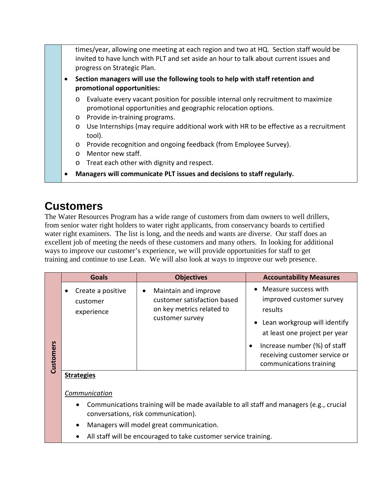times/year, allowing one meeting at each region and two at HQ. Section staff would be invited to have lunch with PLT and set aside an hour to talk about current issues and progress on Strategic Plan. • **Section managers will use the following tools to help with staff retention and promotional opportunities:** o Evaluate every vacant position for possible internal only recruitment to maximize promotional opportunities and geographic relocation options. o Provide in-training programs. o Use Internships (may require additional work with HR to be effective as a recruitment tool). o Provide recognition and ongoing feedback (from Employee Survey). o Mentor new staff. o Treat each other with dignity and respect. • **Managers will communicate PLT issues and decisions to staff regularly.**

### **Customers**

The Water Resources Program has a wide range of customers from dam owners to well drillers, from senior water right holders to water right applicants, from conservancy boards to certified water right examiners. The list is long, and the needs and wants are diverse. Our staff does an excellent job of meeting the needs of these customers and many others. In looking for additional ways to improve our customer's experience, we will provide opportunities for staff to get training and continue to use Lean. We will also look at ways to improve our web presence.

|           | <b>Goals</b>                                | <b>Objectives</b>                                                                                                | <b>Accountability Measures</b>                                                                                                                                                                                               |
|-----------|---------------------------------------------|------------------------------------------------------------------------------------------------------------------|------------------------------------------------------------------------------------------------------------------------------------------------------------------------------------------------------------------------------|
| Customers | Create a positive<br>customer<br>experience | Maintain and improve<br>$\bullet$<br>customer satisfaction based<br>on key metrics related to<br>customer survey | • Measure success with<br>improved customer survey<br>results<br>• Lean workgroup will identify<br>at least one project per year<br>Increase number (%) of staff<br>receiving customer service or<br>communications training |
|           | <b>Strategies</b>                           |                                                                                                                  |                                                                                                                                                                                                                              |

*Communication*

- Communications training will be made available to all staff and managers (e.g., crucial conversations, risk communication).
- Managers will model great communication.
- All staff will be encouraged to take customer service training.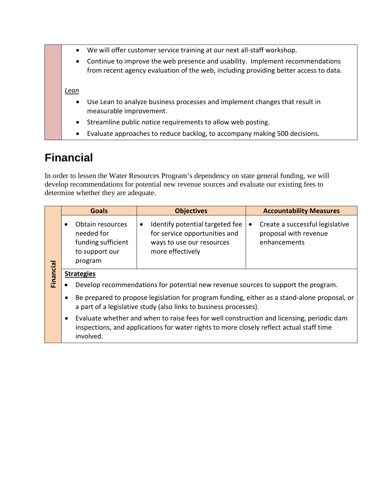|  | We will offer customer service training at our next all-staff workshop.<br>$\bullet$ |                                                                                                                                                                       |
|--|--------------------------------------------------------------------------------------|-----------------------------------------------------------------------------------------------------------------------------------------------------------------------|
|  | $\bullet$                                                                            | Continue to improve the web presence and usability. Implement recommendations<br>from recent agency evaluation of the web, including providing better access to data. |
|  | Lean                                                                                 |                                                                                                                                                                       |
|  | $\bullet$                                                                            | Use Lean to analyze business processes and implement changes that result in<br>measurable improvement.                                                                |
|  | $\bullet$                                                                            | Streamline public notice requirements to allow web posting.                                                                                                           |
|  | ٠                                                                                    | Evaluate approaches to reduce backlog, to accompany making 500 decisions.                                                                                             |

### **Financial**

In order to lessen the Water Resources Program's dependency on state general funding, we will develop recommendations for potential new revenue sources and evaluate our existing fees to determine whether they are adequate.

|                                                                                                                                                                                                                 | <b>Goals</b>                                                                                                                                                                                                                                                                             | <b>Objectives</b>                                                                                                              | <b>Accountability Measures</b>                                           |
|-----------------------------------------------------------------------------------------------------------------------------------------------------------------------------------------------------------------|------------------------------------------------------------------------------------------------------------------------------------------------------------------------------------------------------------------------------------------------------------------------------------------|--------------------------------------------------------------------------------------------------------------------------------|--------------------------------------------------------------------------|
|                                                                                                                                                                                                                 | Obtain resources<br>needed for<br>funding sufficient<br>to support our<br>program                                                                                                                                                                                                        | Identify potential targeted fee<br>$\bullet$<br>for service opportunities and<br>ways to use our resources<br>more effectively | Create a successful legislative<br>proposal with revenue<br>enhancements |
|                                                                                                                                                                                                                 | Financial<br><b>Strategies</b><br>Develop recommendations for potential new revenue sources to support the program.<br>Be prepared to propose legislation for program funding, either as a stand-alone proposal, or<br>a part of a legislative study (also links to business processes). |                                                                                                                                |                                                                          |
|                                                                                                                                                                                                                 |                                                                                                                                                                                                                                                                                          |                                                                                                                                |                                                                          |
|                                                                                                                                                                                                                 |                                                                                                                                                                                                                                                                                          |                                                                                                                                |                                                                          |
| Evaluate whether and when to raise fees for well construction and licensing, periodic dam<br>$\bullet$<br>inspections, and applications for water rights to more closely reflect actual staff time<br>involved. |                                                                                                                                                                                                                                                                                          |                                                                                                                                |                                                                          |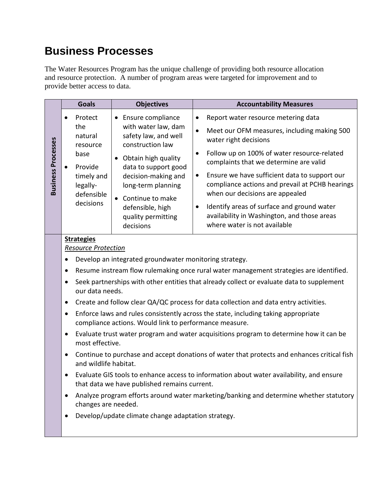### **Business Processes**

The Water Resources Program has the unique challenge of providing both resource allocation and resource protection. A number of program areas were targeted for improvement and to provide better access to data.

|                           | <b>Goals</b>                                                                                                                                              | <b>Objectives</b>                                                                                                                                                                                                                        | <b>Accountability Measures</b>                                                                                                                   |
|---------------------------|-----------------------------------------------------------------------------------------------------------------------------------------------------------|------------------------------------------------------------------------------------------------------------------------------------------------------------------------------------------------------------------------------------------|--------------------------------------------------------------------------------------------------------------------------------------------------|
| <b>Business Processes</b> | Protect                                                                                                                                                   | • Ensure compliance                                                                                                                                                                                                                      | Report water resource metering data<br>$\bullet$                                                                                                 |
|                           | the<br>natural<br>resource<br>base<br>Provide<br>timely and<br>legally-<br>defensible<br>decisions                                                        | with water law, dam<br>safety law, and well<br>construction law<br>Obtain high quality<br>data to support good<br>decision-making and<br>long-term planning<br>• Continue to make<br>defensible, high<br>quality permitting<br>decisions | Meet our OFM measures, including making 500<br>$\bullet$<br>water right decisions                                                                |
|                           |                                                                                                                                                           |                                                                                                                                                                                                                                          | Follow up on 100% of water resource-related<br>$\bullet$<br>complaints that we determine are valid                                               |
|                           |                                                                                                                                                           |                                                                                                                                                                                                                                          | Ensure we have sufficient data to support our<br>$\bullet$<br>compliance actions and prevail at PCHB hearings<br>when our decisions are appealed |
|                           |                                                                                                                                                           |                                                                                                                                                                                                                                          | Identify areas of surface and ground water<br>$\bullet$<br>availability in Washington, and those areas<br>where water is not available           |
|                           | <b>Strategies</b><br><b>Resource Protection</b><br>Develop an integrated groundwater monitoring strategy.                                                 |                                                                                                                                                                                                                                          |                                                                                                                                                  |
|                           |                                                                                                                                                           |                                                                                                                                                                                                                                          |                                                                                                                                                  |
|                           | Resume instream flow rulemaking once rural water management strategies are identified.<br>٠                                                               |                                                                                                                                                                                                                                          |                                                                                                                                                  |
|                           | Seek partnerships with other entities that already collect or evaluate data to supplement<br>٠<br>our data needs.                                         |                                                                                                                                                                                                                                          |                                                                                                                                                  |
|                           | $\bullet$                                                                                                                                                 |                                                                                                                                                                                                                                          | Create and follow clear QA/QC process for data collection and data entry activities.                                                             |
|                           | Enforce laws and rules consistently across the state, including taking appropriate<br>$\bullet$<br>compliance actions. Would link to performance measure. |                                                                                                                                                                                                                                          |                                                                                                                                                  |
|                           | Evaluate trust water program and water acquisitions program to determine how it can be<br>٠<br>most effective.                                            |                                                                                                                                                                                                                                          |                                                                                                                                                  |
|                           | Continue to purchase and accept donations of water that protects and enhances critical fish<br>$\bullet$<br>and wildlife habitat.                         |                                                                                                                                                                                                                                          |                                                                                                                                                  |
|                           | Evaluate GIS tools to enhance access to information about water availability, and ensure<br>that data we have published remains current.                  |                                                                                                                                                                                                                                          |                                                                                                                                                  |
|                           | Analyze program efforts around water marketing/banking and determine whether statutory<br>٠<br>changes are needed.                                        |                                                                                                                                                                                                                                          |                                                                                                                                                  |
|                           | Develop/update climate change adaptation strategy.<br>٠                                                                                                   |                                                                                                                                                                                                                                          |                                                                                                                                                  |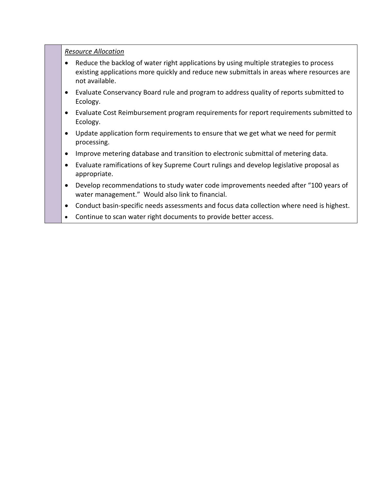*Resource Allocation*

- Reduce the backlog of water right applications by using multiple strategies to process existing applications more quickly and reduce new submittals in areas where resources are not available.
- Evaluate Conservancy Board rule and program to address quality of reports submitted to Ecology.
- Evaluate Cost Reimbursement program requirements for report requirements submitted to Ecology.
- Update application form requirements to ensure that we get what we need for permit processing.
- Improve metering database and transition to electronic submittal of metering data.
- Evaluate ramifications of key Supreme Court rulings and develop legislative proposal as appropriate.
- Develop recommendations to study water code improvements needed after "100 years of water management." Would also link to financial.
- Conduct basin-specific needs assessments and focus data collection where need is highest.
- Continue to scan water right documents to provide better access.